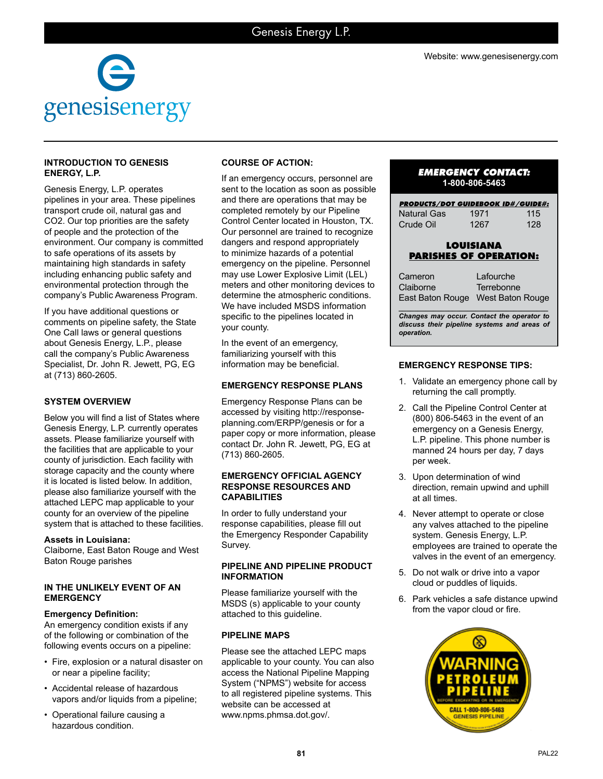

## **INTRODUCTION TO GENESIS ENERGY, L.P.**

Genesis Energy, L.P. operates pipelines in your area. These pipelines transport crude oil, natural gas and CO2. Our top priorities are the safety of people and the protection of the environment. Our company is committed to safe operations of its assets by maintaining high standards in safety including enhancing public safety and environmental protection through the company's Public Awareness Program.

If you have additional questions or comments on pipeline safety, the State One Call laws or general questions about Genesis Energy, L.P., please call the company's Public Awareness Specialist, Dr. John R. Jewett, PG, EG at (713) 860-2605.

# **SYSTEM OVERVIEW**

Below you will find a list of States where Genesis Energy, L.P. currently operates assets. Please familiarize yourself with the facilities that are applicable to your county of jurisdiction. Each facility with storage capacity and the county where it is located is listed below. In addition, please also familiarize yourself with the attached LEPC map applicable to your county for an overview of the pipeline system that is attached to these facilities.

## **Assets in Louisiana:**

Claiborne, East Baton Rouge and West Baton Rouge parishes

## **IN THE UNLIKELY EVENT OF AN EMERGENCY**

## **Emergency Definition:**

An emergency condition exists if any of the following or combination of the following events occurs on a pipeline:

- Fire, explosion or a natural disaster on or near a pipeline facility;
- Accidental release of hazardous vapors and/or liquids from a pipeline;
- Operational failure causing a hazardous condition.

# **COURSE OF ACTION:**

If an emergency occurs, personnel are sent to the location as soon as possible and there are operations that may be completed remotely by our Pipeline Control Center located in Houston, TX. Our personnel are trained to recognize dangers and respond appropriately to minimize hazards of a potential emergency on the pipeline. Personnel may use Lower Explosive Limit (LEL) meters and other monitoring devices to determine the atmospheric conditions. We have included MSDS information specific to the pipelines located in your county.

In the event of an emergency, familiarizing yourself with this information may be beneficial.

# **EMERGENCY RESPONSE PLANS**

Emergency Response Plans can be accessed by visiting http://responseplanning.com/ERPP/genesis or for a paper copy or more information, please contact Dr. John R. Jewett, PG, EG at (713) 860-2605.

#### **EMERGENCY OFFICIAL AGENCY RESPONSE RESOURCES AND CAPABILITIES**

In order to fully understand your response capabilities, please fill out the Emergency Responder Capability Survey.

## **PIPELINE AND PIPELINE PRODUCT INFORMATION**

Please familiarize yourself with the MSDS (s) applicable to your county attached to this guideline.

## **PIPELINE MAPS**

Please see the attached LEPC maps applicable to your county. You can also access the National Pipeline Mapping System ("NPMS") website for access to all registered pipeline systems. This website can be accessed at www.npms.phmsa.dot.gov/.

# *EMERGENCY CONTACT:* **1-800-806-5463**

| <b>PRODUCTS/DOT GUIDEBOOK ID#/GUIDE#:</b><br>Natural Gas<br>Crude Oil | 1971<br>1267                                | 115<br>128 |
|-----------------------------------------------------------------------|---------------------------------------------|------------|
| <b>LOUISIANA</b><br><b>PARISHES OF OPERATION:</b>                     |                                             |            |
| Cameron<br>Claiborne<br>East Baton Rouge                              | Lafourche<br>Terrebonne<br>West Baton Rouge |            |

*Changes may occur. Contact the operator to discuss their pipeline systems and areas of operation.*

# **EMERGENCY RESPONSE TIPS:**

- 1. Validate an emergency phone call by returning the call promptly.
- 2. Call the Pipeline Control Center at (800) 806-5463 in the event of an emergency on a Genesis Energy, L.P. pipeline. This phone number is manned 24 hours per day, 7 days per week.
- 3. Upon determination of wind direction, remain upwind and uphill at all times.
- 4. Never attempt to operate or close any valves attached to the pipeline system. Genesis Energy, L.P. employees are trained to operate the valves in the event of an emergency.
- 5. Do not walk or drive into a vapor cloud or puddles of liquids.
- 6. Park vehicles a safe distance upwind from the vapor cloud or fire.